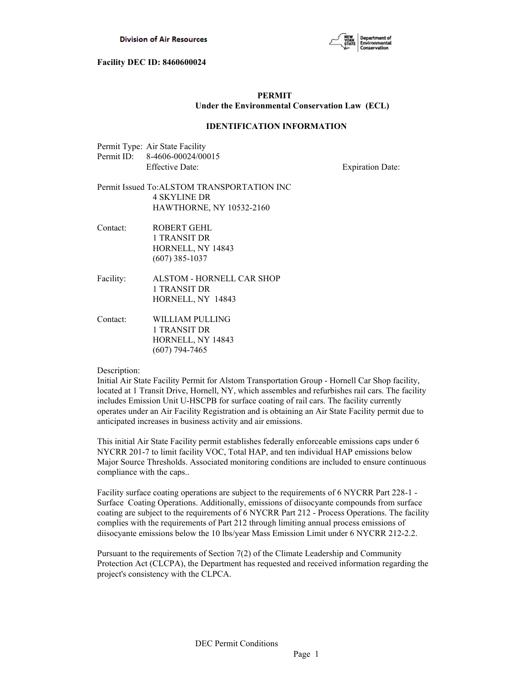

# **PERMIT Under the Environmental Conservation Law (ECL)**

## **IDENTIFICATION INFORMATION**

| Permit Type: Air State Facility |
|---------------------------------|
| Permit ID: 8-4606-00024/00015   |
| <b>Effective Date:</b>          |

**Expiration Date:** 

## Permit Issued To:ALSTOM TRANSPORTATION INC 4 SKYLINE DR HAWTHORNE, NY 10532-2160

- Contact: ROBERT GEHL 1 TRANSIT DR HORNELL, NY 14843 (607) 385-1037
- Facility: ALSTOM HORNELL CAR SHOP 1 TRANSIT DR HORNELL, NY 14843
- Contact: WILLIAM PULLING 1 TRANSIT DR HORNELL, NY 14843 (607) 794-7465

#### Description:

Initial Air State Facility Permit for Alstom Transportation Group - Hornell Car Shop facility, located at 1 Transit Drive, Hornell, NY, which assembles and refurbishes rail cars. The facility includes Emission Unit U-HSCPB for surface coating of rail cars. The facility currently operates under an Air Facility Registration and is obtaining an Air State Facility permit due to anticipated increases in business activity and air emissions.

This initial Air State Facility permit establishes federally enforceable emissions caps under 6 NYCRR 201-7 to limit facility VOC, Total HAP, and ten individual HAP emissions below Major Source Thresholds. Associated monitoring conditions are included to ensure continuous compliance with the caps..

Facility surface coating operations are subject to the requirements of 6 NYCRR Part 228-1 - Surface Coating Operations. Additionally, emissions of diisocyante compounds from surface coating are subject to the requirements of 6 NYCRR Part 212 - Process Operations. The facility complies with the requirements of Part 212 through limiting annual process emissions of diisocyante emissions below the 10 lbs/year Mass Emission Limit under 6 NYCRR 212-2.2.

Pursuant to the requirements of Section 7(2) of the Climate Leadership and Community Protection Act (CLCPA), the Department has requested and received information regarding the project's consistency with the CLPCA.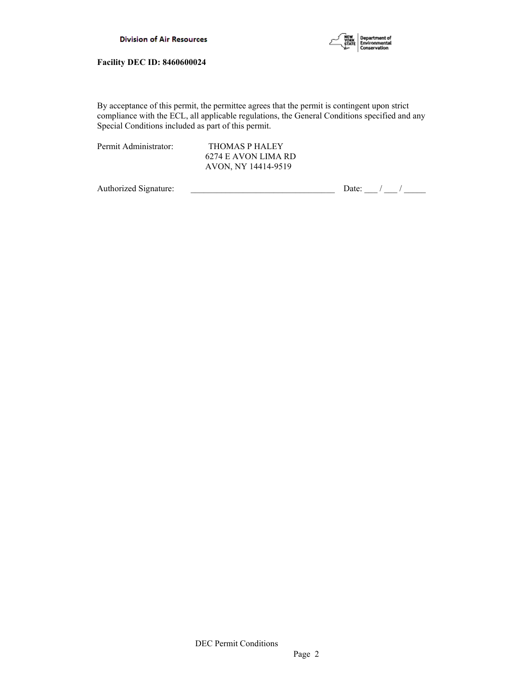

By acceptance of this permit, the permittee agrees that the permit is contingent upon strict compliance with the ECL, all applicable regulations, the General Conditions specified and any Special Conditions included as part of this permit.

Permit Administrator: THOMAS P HALEY 6274 E AVON LIMA RD AVON, NY 14414-9519

Authorized Signature:  $\frac{1}{2}$  Date:  $\frac{1}{2}$  Date:  $\frac{1}{2}$  /  $\frac{1}{2}$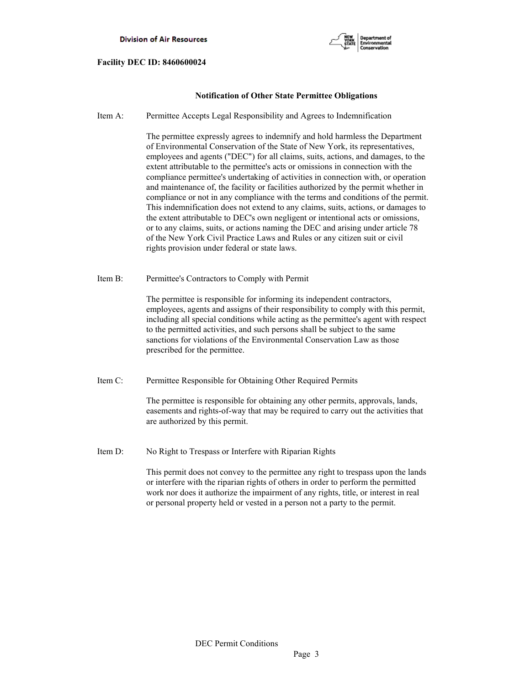

# **Notification of Other State Permittee Obligations**

Item A: Permittee Accepts Legal Responsibility and Agrees to Indemnification

 The permittee expressly agrees to indemnify and hold harmless the Department of Environmental Conservation of the State of New York, its representatives, employees and agents ("DEC") for all claims, suits, actions, and damages, to the extent attributable to the permittee's acts or omissions in connection with the compliance permittee's undertaking of activities in connection with, or operation and maintenance of, the facility or facilities authorized by the permit whether in compliance or not in any compliance with the terms and conditions of the permit. This indemnification does not extend to any claims, suits, actions, or damages to the extent attributable to DEC's own negligent or intentional acts or omissions, or to any claims, suits, or actions naming the DEC and arising under article 78 of the New York Civil Practice Laws and Rules or any citizen suit or civil rights provision under federal or state laws.

Item B: Permittee's Contractors to Comply with Permit

 The permittee is responsible for informing its independent contractors, employees, agents and assigns of their responsibility to comply with this permit, including all special conditions while acting as the permittee's agent with respect to the permitted activities, and such persons shall be subject to the same sanctions for violations of the Environmental Conservation Law as those prescribed for the permittee.

Item C: Permittee Responsible for Obtaining Other Required Permits

 The permittee is responsible for obtaining any other permits, approvals, lands, easements and rights-of-way that may be required to carry out the activities that are authorized by this permit.

Item D: No Right to Trespass or Interfere with Riparian Rights

 This permit does not convey to the permittee any right to trespass upon the lands or interfere with the riparian rights of others in order to perform the permitted work nor does it authorize the impairment of any rights, title, or interest in real or personal property held or vested in a person not a party to the permit.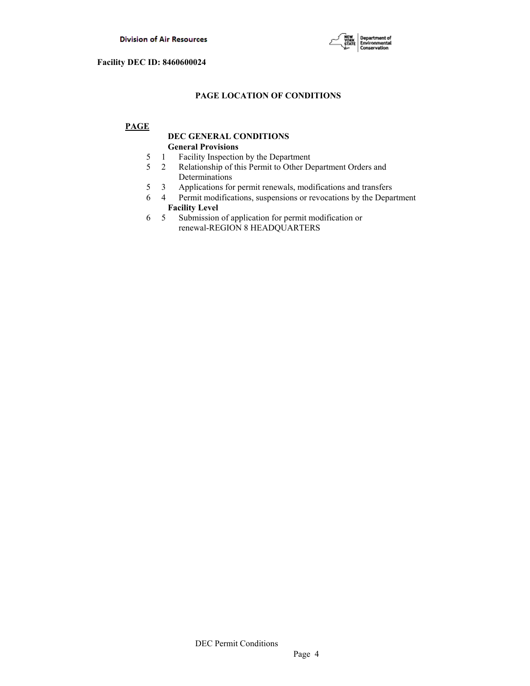

# **PAGE LOCATION OF CONDITIONS**

# **PAGE**

# **DEC GENERAL CONDITIONS General Provisions**

- 5 1 Facility Inspection by the Department
- 5 2 Relationship of this Permit to Other Department Orders and Determinations
- 5 3 Applications for permit renewals, modifications and transfers
- 6 4 Permit modifications, suspensions or revocations by the Department  **Facility Level**
- 6 5 Submission of application for permit modification or renewal-REGION 8 HEADQUARTERS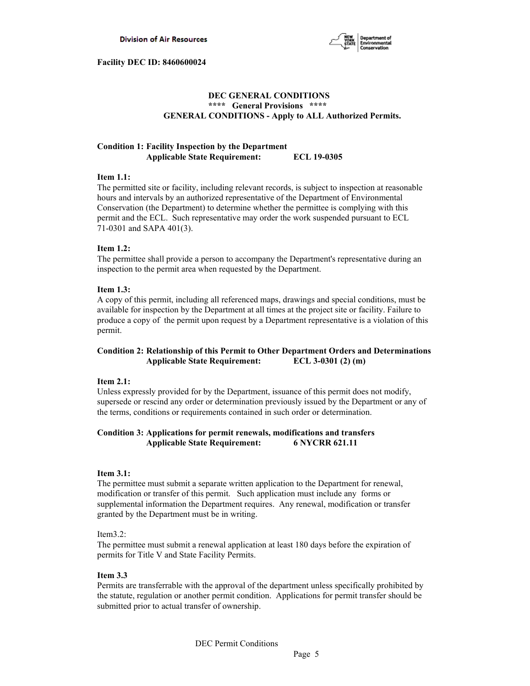

# **DEC GENERAL CONDITIONS \*\*\*\* General Provisions \*\*\*\* GENERAL CONDITIONS - Apply to ALL Authorized Permits.**

# **Condition 1: Facility Inspection by the Department Applicable State Requirement: ECL 19-0305**

### **Item 1.1:**

The permitted site or facility, including relevant records, is subject to inspection at reasonable hours and intervals by an authorized representative of the Department of Environmental Conservation (the Department) to determine whether the permittee is complying with this permit and the ECL. Such representative may order the work suspended pursuant to ECL 71-0301 and SAPA 401(3).

## **Item 1.2:**

The permittee shall provide a person to accompany the Department's representative during an inspection to the permit area when requested by the Department.

## **Item 1.3:**

A copy of this permit, including all referenced maps, drawings and special conditions, must be available for inspection by the Department at all times at the project site or facility. Failure to produce a copy of the permit upon request by a Department representative is a violation of this permit.

# **Condition 2: Relationship of this Permit to Other Department Orders and Determinations Applicable State Requirement: ECL 3-0301 (2) (m)**

#### **Item 2.1:**

Unless expressly provided for by the Department, issuance of this permit does not modify, supersede or rescind any order or determination previously issued by the Department or any of the terms, conditions or requirements contained in such order or determination.

# **Condition 3: Applications for permit renewals, modifications and transfers Applicable State Requirement: 6 NYCRR 621.11**

### **Item 3.1:**

The permittee must submit a separate written application to the Department for renewal, modification or transfer of this permit. Such application must include any forms or supplemental information the Department requires. Any renewal, modification or transfer granted by the Department must be in writing.

## Item3.2:

The permittee must submit a renewal application at least 180 days before the expiration of permits for Title V and State Facility Permits.

## **Item 3.3**

Permits are transferrable with the approval of the department unless specifically prohibited by the statute, regulation or another permit condition. Applications for permit transfer should be submitted prior to actual transfer of ownership.

DEC Permit Conditions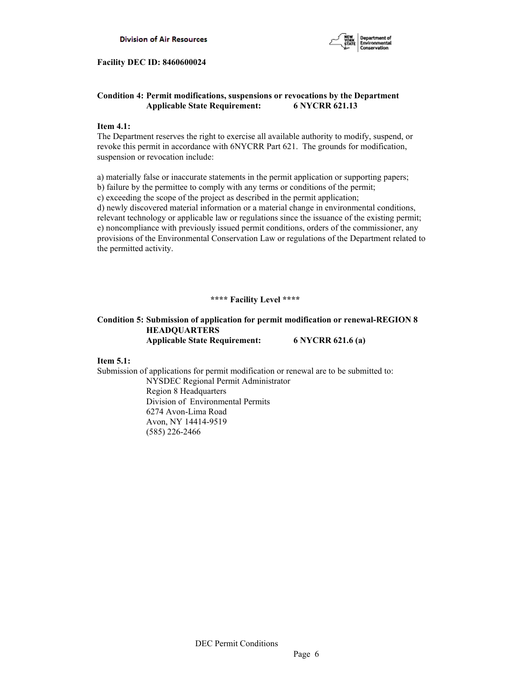

# **Condition 4: Permit modifications, suspensions or revocations by the Department Applicable State Requirement: 6 NYCRR 621.13**

## **Item 4.1:**

The Department reserves the right to exercise all available authority to modify, suspend, or revoke this permit in accordance with 6NYCRR Part 621. The grounds for modification, suspension or revocation include:

a) materially false or inaccurate statements in the permit application or supporting papers;

b) failure by the permittee to comply with any terms or conditions of the permit;

c) exceeding the scope of the project as described in the permit application;

d) newly discovered material information or a material change in environmental conditions, relevant technology or applicable law or regulations since the issuance of the existing permit; e) noncompliance with previously issued permit conditions, orders of the commissioner, any provisions of the Environmental Conservation Law or regulations of the Department related to the permitted activity.

# **\*\*\*\* Facility Level \*\*\*\***

# **Condition 5: Submission of application for permit modification or renewal-REGION 8 HEADQUARTERS Applicable State Requirement: 6 NYCRR 621.6 (a)**

## **Item 5.1:**

Submission of applications for permit modification or renewal are to be submitted to:

 NYSDEC Regional Permit Administrator Region 8 Headquarters Division of Environmental Permits 6274 Avon-Lima Road Avon, NY 14414-9519 (585) 226-2466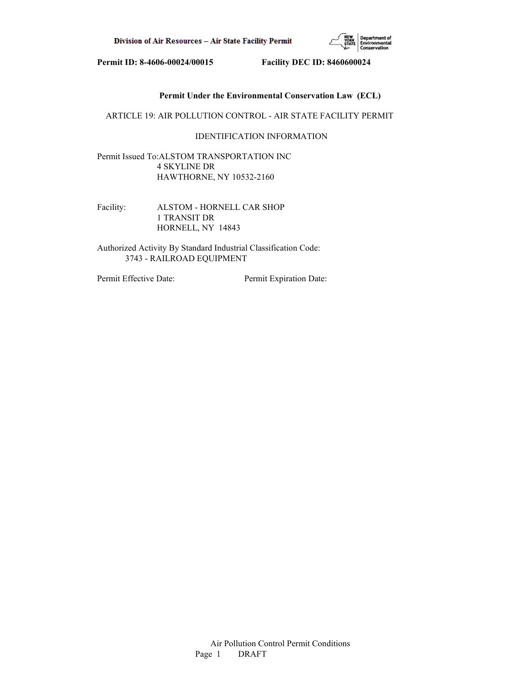

# **Permit Under the Environmental Conservation Law (ECL)**

ARTICLE 19: AIR POLLUTION CONTROL - AIR STATE FACILITY PERMIT

# IDENTIFICATION INFORMATION

Permit Issued To:ALSTOM TRANSPORTATION INC 4 SKYLINE DR HAWTHORNE, NY 10532-2160

Facility: ALSTOM - HORNELL CAR SHOP 1 TRANSIT DR HORNELL, NY 14843

Authorized Activity By Standard Industrial Classification Code: 3743 - RAILROAD EQUIPMENT

Permit Effective Date: Permit Expiration Date: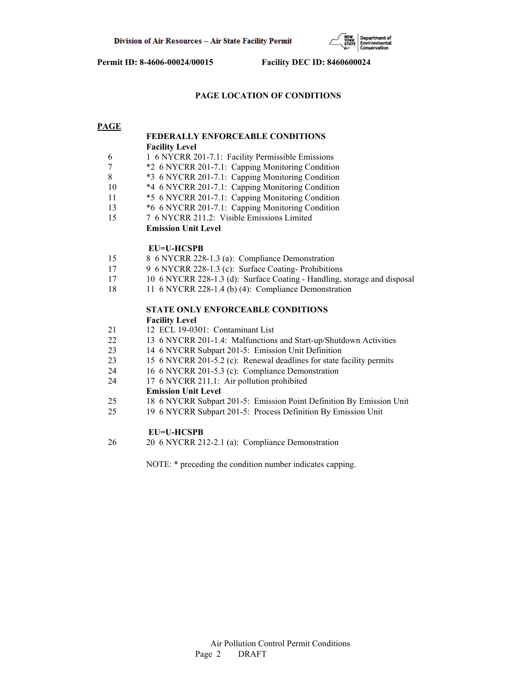

# **PAGE LOCATION OF CONDITIONS**

### **PAGE**

# **FEDERALLY ENFORCEABLE CONDITIONS Facility Level**

- 6 1 6 NYCRR 201-7.1: Facility Permissible Emissions
- 7 \*2 6 NYCRR 201-7.1: Capping Monitoring Condition
- 8 \*3 6 NYCRR 201-7.1: Capping Monitoring Condition
- 10 \*4 6 NYCRR 201-7.1: Capping Monitoring Condition
- 11 \*5 6 NYCRR 201-7.1: Capping Monitoring Condition
- 13 \*6 6 NYCRR 201-7.1: Capping Monitoring Condition
- 15 7 6 NYCRR 211.2: Visible Emissions Limited  **Emission Unit Level**

## **EU=U-HCSPB**

- 15 8 6 NYCRR 228-1.3 (a): Compliance Demonstration
- 17 9 6 NYCRR 228-1.3 (c): Surface Coating- Prohibitions
- 17 10 6 NYCRR 228-1.3 (d): Surface Coating Handling, storage and disposal
- 18 11 6 NYCRR 228-1.4 (b) (4): Compliance Demonstration

# **STATE ONLY ENFORCEABLE CONDITIONS Facility Level**

- 21 12 ECL 19-0301: Contaminant List
- 22 13 6 NYCRR 201-1.4: Malfunctions and Start-up/Shutdown Activities
- 23 14 6 NYCRR Subpart 201-5: Emission Unit Definition
- 23 15 6 NYCRR 201-5.2 (c): Renewal deadlines for state facility permits
- 24 16 6 NYCRR 201-5.3 (c): Compliance Demonstration
- 24 17 6 NYCRR 211.1: Air pollution prohibited

#### **Emission Unit Level**

- 25 18 6 NYCRR Subpart 201-5: Emission Point Definition By Emission Unit
- 25 19 6 NYCRR Subpart 201-5: Process Definition By Emission Unit

## **EU=U-HCSPB**

26 20 6 NYCRR 212-2.1 (a): Compliance Demonstration

NOTE: \* preceding the condition number indicates capping.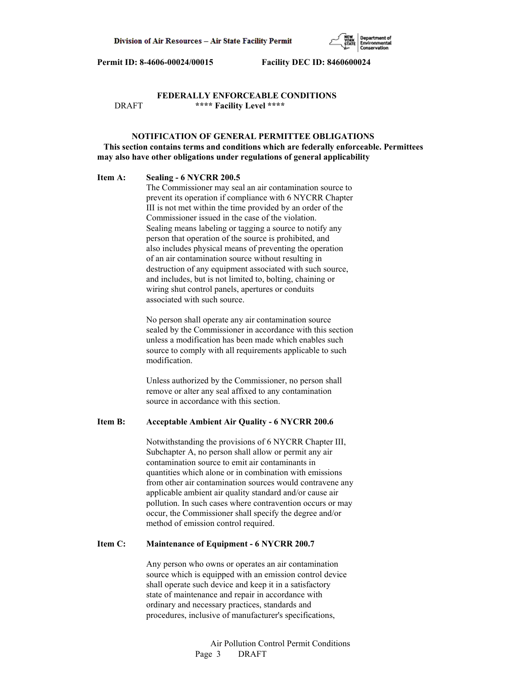

# **FEDERALLY ENFORCEABLE CONDITIONS** DRAFT **\*\*\*\* Facility Level \*\*\*\***

# **NOTIFICATION OF GENERAL PERMITTEE OBLIGATIONS This section contains terms and conditions which are federally enforceable. Permittees may also have other obligations under regulations of general applicability**

#### **Item A: Sealing - 6 NYCRR 200.5**

 The Commissioner may seal an air contamination source to prevent its operation if compliance with 6 NYCRR Chapter III is not met within the time provided by an order of the Commissioner issued in the case of the violation. Sealing means labeling or tagging a source to notify any person that operation of the source is prohibited, and also includes physical means of preventing the operation of an air contamination source without resulting in destruction of any equipment associated with such source, and includes, but is not limited to, bolting, chaining or wiring shut control panels, apertures or conduits associated with such source.

 No person shall operate any air contamination source sealed by the Commissioner in accordance with this section unless a modification has been made which enables such source to comply with all requirements applicable to such modification.

 Unless authorized by the Commissioner, no person shall remove or alter any seal affixed to any contamination source in accordance with this section.

### **Item B: Acceptable Ambient Air Quality - 6 NYCRR 200.6**

 Notwithstanding the provisions of 6 NYCRR Chapter III, Subchapter A, no person shall allow or permit any air contamination source to emit air contaminants in quantities which alone or in combination with emissions from other air contamination sources would contravene any applicable ambient air quality standard and/or cause air pollution. In such cases where contravention occurs or may occur, the Commissioner shall specify the degree and/or method of emission control required.

#### **Item C: Maintenance of Equipment - 6 NYCRR 200.7**

 Any person who owns or operates an air contamination source which is equipped with an emission control device shall operate such device and keep it in a satisfactory state of maintenance and repair in accordance with ordinary and necessary practices, standards and procedures, inclusive of manufacturer's specifications,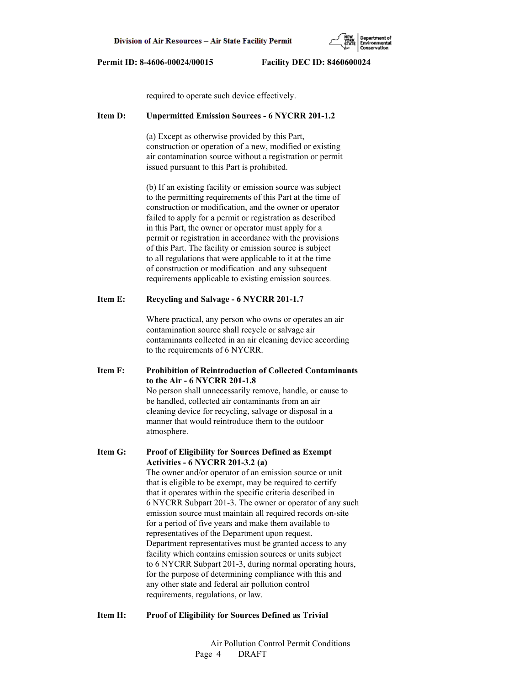

required to operate such device effectively.

#### **Item D: Unpermitted Emission Sources - 6 NYCRR 201-1.2**

 (a) Except as otherwise provided by this Part, construction or operation of a new, modified or existing air contamination source without a registration or permit issued pursuant to this Part is prohibited.

 (b) If an existing facility or emission source was subject to the permitting requirements of this Part at the time of construction or modification, and the owner or operator failed to apply for a permit or registration as described in this Part, the owner or operator must apply for a permit or registration in accordance with the provisions of this Part. The facility or emission source is subject to all regulations that were applicable to it at the time of construction or modification and any subsequent requirements applicable to existing emission sources.

## **Item E: Recycling and Salvage - 6 NYCRR 201-1.7**

 Where practical, any person who owns or operates an air contamination source shall recycle or salvage air contaminants collected in an air cleaning device according to the requirements of 6 NYCRR.

**Item F: Prohibition of Reintroduction of Collected Contaminants to the Air - 6 NYCRR 201-1.8** No person shall unnecessarily remove, handle, or cause to be handled, collected air contaminants from an air cleaning device for recycling, salvage or disposal in a manner that would reintroduce them to the outdoor atmosphere.

**Item G: Proof of Eligibility for Sources Defined as Exempt Activities - 6 NYCRR 201-3.2 (a)** The owner and/or operator of an emission source or unit that is eligible to be exempt, may be required to certify that it operates within the specific criteria described in 6 NYCRR Subpart 201-3. The owner or operator of any such emission source must maintain all required records on-site for a period of five years and make them available to representatives of the Department upon request. Department representatives must be granted access to any facility which contains emission sources or units subject to 6 NYCRR Subpart 201-3, during normal operating hours, for the purpose of determining compliance with this and any other state and federal air pollution control requirements, regulations, or law.

## **Item H: Proof of Eligibility for Sources Defined as Trivial**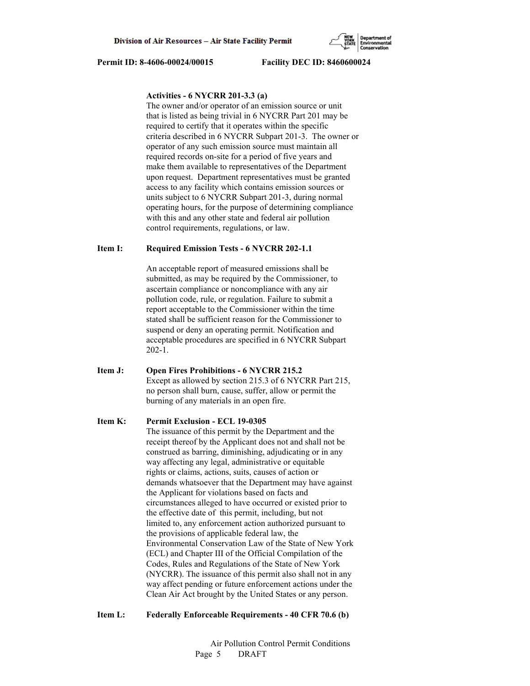# **Activities - 6 NYCRR 201-3.3 (a)**

 The owner and/or operator of an emission source or unit that is listed as being trivial in 6 NYCRR Part 201 may be required to certify that it operates within the specific criteria described in 6 NYCRR Subpart 201-3. The owner or operator of any such emission source must maintain all required records on-site for a period of five years and make them available to representatives of the Department upon request. Department representatives must be granted access to any facility which contains emission sources or units subject to 6 NYCRR Subpart 201-3, during normal operating hours, for the purpose of determining compliance with this and any other state and federal air pollution control requirements, regulations, or law.

## **Item I: Required Emission Tests - 6 NYCRR 202-1.1**

 An acceptable report of measured emissions shall be submitted, as may be required by the Commissioner, to ascertain compliance or noncompliance with any air pollution code, rule, or regulation. Failure to submit a report acceptable to the Commissioner within the time stated shall be sufficient reason for the Commissioner to suspend or deny an operating permit. Notification and acceptable procedures are specified in 6 NYCRR Subpart 202-1.

**Item J: Open Fires Prohibitions - 6 NYCRR 215.2** Except as allowed by section 215.3 of 6 NYCRR Part 215, no person shall burn, cause, suffer, allow or permit the burning of any materials in an open fire.

### **Item K: Permit Exclusion - ECL 19-0305**

 The issuance of this permit by the Department and the receipt thereof by the Applicant does not and shall not be construed as barring, diminishing, adjudicating or in any way affecting any legal, administrative or equitable rights or claims, actions, suits, causes of action or demands whatsoever that the Department may have against the Applicant for violations based on facts and circumstances alleged to have occurred or existed prior to the effective date of this permit, including, but not limited to, any enforcement action authorized pursuant to the provisions of applicable federal law, the Environmental Conservation Law of the State of New York (ECL) and Chapter III of the Official Compilation of the Codes, Rules and Regulations of the State of New York (NYCRR). The issuance of this permit also shall not in any way affect pending or future enforcement actions under the Clean Air Act brought by the United States or any person.

### **Item L: Federally Enforceable Requirements - 40 CFR 70.6 (b)**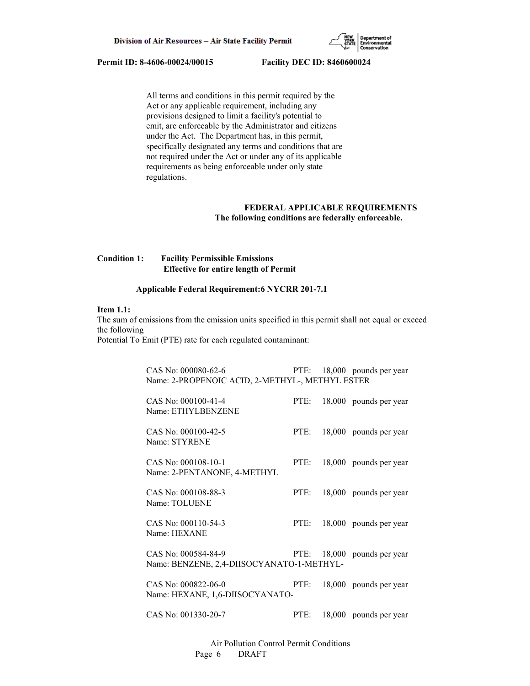

 All terms and conditions in this permit required by the Act or any applicable requirement, including any provisions designed to limit a facility's potential to emit, are enforceable by the Administrator and citizens under the Act. The Department has, in this permit, specifically designated any terms and conditions that are not required under the Act or under any of its applicable requirements as being enforceable under only state regulations.

# **FEDERAL APPLICABLE REQUIREMENTS The following conditions are federally enforceable.**

# **Condition 1: Facility Permissible Emissions Effective for entire length of Permit**

## **Applicable Federal Requirement:6 NYCRR 201-7.1**

# **Item 1.1:**

The sum of emissions from the emission units specified in this permit shall not equal or exceed the following

Potential To Emit (PTE) rate for each regulated contaminant:

| CAS No: 000080-62-6<br>Name: 2-PROPENOIC ACID, 2-METHYL-, METHYL ESTER |      | PTE: 18,000 pounds per year |
|------------------------------------------------------------------------|------|-----------------------------|
| CAS No: 000100-41-4<br>Name: ETHYLBENZENE                              | PTE: | 18,000 pounds per year      |
| CAS No: 000100-42-5<br>Name: STYRENE                                   | PTE: | 18,000 pounds per year      |
| CAS No: 000108-10-1<br>Name: 2-PENTANONE, 4-METHYL                     | PTE: | 18,000 pounds per year      |
| CAS No: 000108-88-3<br>Name: TOLUENE                                   | PTE: | 18,000 pounds per year      |
| CAS No: 000110-54-3<br>Name: HEXANE                                    | PTE: | 18,000 pounds per year      |
| CAS No: 000584-84-9<br>Name: BENZENE, 2,4-DIISOCYANATO-1-METHYL-       |      | PTE: 18,000 pounds per year |
| CAS No: 000822-06-0<br>Name: HEXANE, 1,6-DIISOCYANATO-                 | PTE: | 18,000 pounds per year      |
| CAS No: 001330-20-7                                                    | PTE: | 18,000 pounds per year      |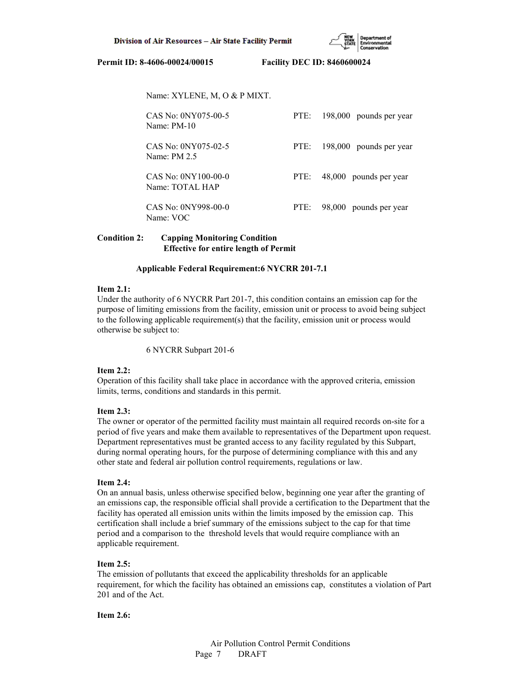Name: XYLENE, M, O & P MIXT.

| CAS No: 0NY075-00-5   | 198,000 pounds per year |
|-----------------------|-------------------------|
| Name: PM-10           | PTE:                    |
| CAS No: 0NY075-02-5   | 198,000 pounds per year |
| Name: $PM 2.5$        | PTE:                    |
| $CAS No: ONY100-00-0$ | 48,000 pounds per year  |
| Name: TOTAL HAP       | PTE:                    |
| CAS No: 0NY998-00-0   | 98,000 pounds per year  |
| Name: VOC             | PTE:                    |

# **Condition 2: Capping Monitoring Condition Effective for entire length of Permit**

## **Applicable Federal Requirement:6 NYCRR 201-7.1**

## **Item 2.1:**

Under the authority of 6 NYCRR Part 201-7, this condition contains an emission cap for the purpose of limiting emissions from the facility, emission unit or process to avoid being subject to the following applicable requirement(s) that the facility, emission unit or process would otherwise be subject to:

6 NYCRR Subpart 201-6

## **Item 2.2:**

Operation of this facility shall take place in accordance with the approved criteria, emission limits, terms, conditions and standards in this permit.

# **Item 2.3:**

The owner or operator of the permitted facility must maintain all required records on-site for a period of five years and make them available to representatives of the Department upon request. Department representatives must be granted access to any facility regulated by this Subpart, during normal operating hours, for the purpose of determining compliance with this and any other state and federal air pollution control requirements, regulations or law.

## **Item 2.4:**

On an annual basis, unless otherwise specified below, beginning one year after the granting of an emissions cap, the responsible official shall provide a certification to the Department that the facility has operated all emission units within the limits imposed by the emission cap. This certification shall include a brief summary of the emissions subject to the cap for that time period and a comparison to the threshold levels that would require compliance with an applicable requirement.

# **Item 2.5:**

The emission of pollutants that exceed the applicability thresholds for an applicable requirement, for which the facility has obtained an emissions cap, constitutes a violation of Part 201 and of the Act.

## **Item 2.6:**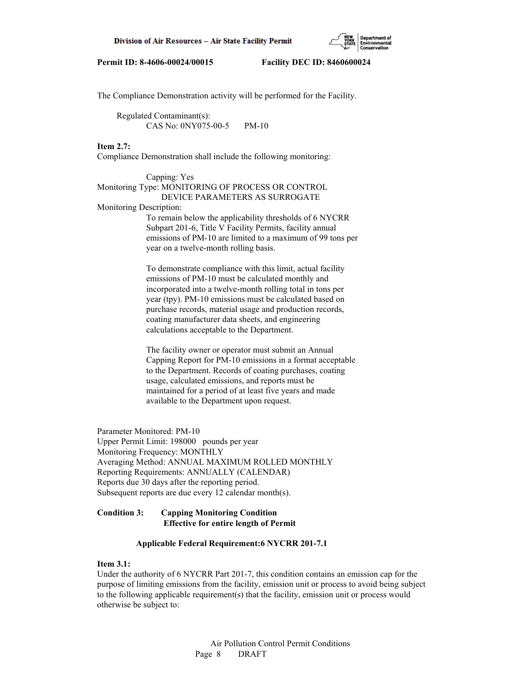

The Compliance Demonstration activity will be performed for the Facility.

 Regulated Contaminant(s): CAS No: 0NY075-00-5 PM-10

## **Item 2.7:**

Compliance Demonstration shall include the following monitoring:

# Capping: Yes Monitoring Type: MONITORING OF PROCESS OR CONTROL DEVICE PARAMETERS AS SURROGATE

Monitoring Description:

 To remain below the applicability thresholds of 6 NYCRR Subpart 201-6, Title V Facility Permits, facility annual emissions of PM-10 are limited to a maximum of 99 tons per year on a twelve-month rolling basis.

 To demonstrate compliance with this limit, actual facility emissions of PM-10 must be calculated monthly and incorporated into a twelve-month rolling total in tons per year (tpy). PM-10 emissions must be calculated based on purchase records, material usage and production records, coating manufacturer data sheets, and engineering calculations acceptable to the Department.

 The facility owner or operator must submit an Annual Capping Report for PM-10 emissions in a format acceptable to the Department. Records of coating purchases, coating usage, calculated emissions, and reports must be maintained for a period of at least five years and made available to the Department upon request.

Parameter Monitored: PM-10 Upper Permit Limit: 198000 pounds per year Monitoring Frequency: MONTHLY Averaging Method: ANNUAL MAXIMUM ROLLED MONTHLY Reporting Requirements: ANNUALLY (CALENDAR) Reports due 30 days after the reporting period. Subsequent reports are due every 12 calendar month(s).

## **Condition 3: Capping Monitoring Condition Effective for entire length of Permit**

## **Applicable Federal Requirement:6 NYCRR 201-7.1**

#### **Item 3.1:**

Under the authority of 6 NYCRR Part 201-7, this condition contains an emission cap for the purpose of limiting emissions from the facility, emission unit or process to avoid being subject to the following applicable requirement(s) that the facility, emission unit or process would otherwise be subject to: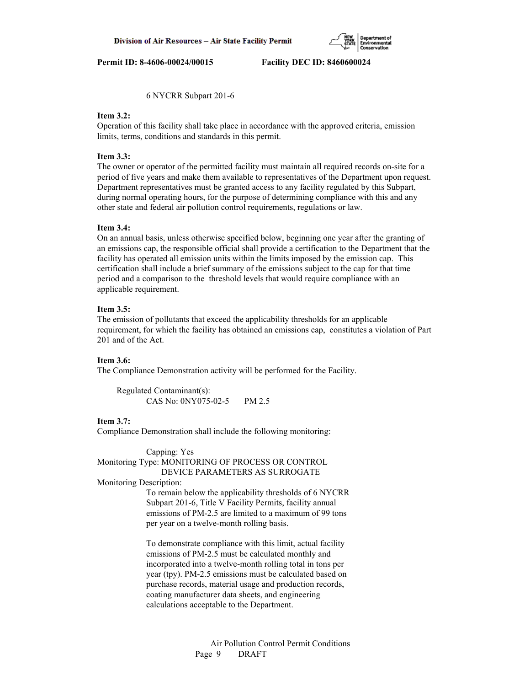6 NYCRR Subpart 201-6

## **Item 3.2:**

Operation of this facility shall take place in accordance with the approved criteria, emission limits, terms, conditions and standards in this permit.

# **Item 3.3:**

The owner or operator of the permitted facility must maintain all required records on-site for a period of five years and make them available to representatives of the Department upon request. Department representatives must be granted access to any facility regulated by this Subpart, during normal operating hours, for the purpose of determining compliance with this and any other state and federal air pollution control requirements, regulations or law.

## **Item 3.4:**

On an annual basis, unless otherwise specified below, beginning one year after the granting of an emissions cap, the responsible official shall provide a certification to the Department that the facility has operated all emission units within the limits imposed by the emission cap. This certification shall include a brief summary of the emissions subject to the cap for that time period and a comparison to the threshold levels that would require compliance with an applicable requirement.

## **Item 3.5:**

The emission of pollutants that exceed the applicability thresholds for an applicable requirement, for which the facility has obtained an emissions cap, constitutes a violation of Part 201 and of the Act.

## **Item 3.6:**

The Compliance Demonstration activity will be performed for the Facility.

 Regulated Contaminant(s): CAS No: 0NY075-02-5 PM 2.5

## **Item 3.7:**

Compliance Demonstration shall include the following monitoring:

 Capping: Yes Monitoring Type: MONITORING OF PROCESS OR CONTROL DEVICE PARAMETERS AS SURROGATE

## Monitoring Description:

 To remain below the applicability thresholds of 6 NYCRR Subpart 201-6, Title V Facility Permits, facility annual emissions of PM-2.5 are limited to a maximum of 99 tons per year on a twelve-month rolling basis.

 To demonstrate compliance with this limit, actual facility emissions of PM-2.5 must be calculated monthly and incorporated into a twelve-month rolling total in tons per year (tpy). PM-2.5 emissions must be calculated based on purchase records, material usage and production records, coating manufacturer data sheets, and engineering calculations acceptable to the Department.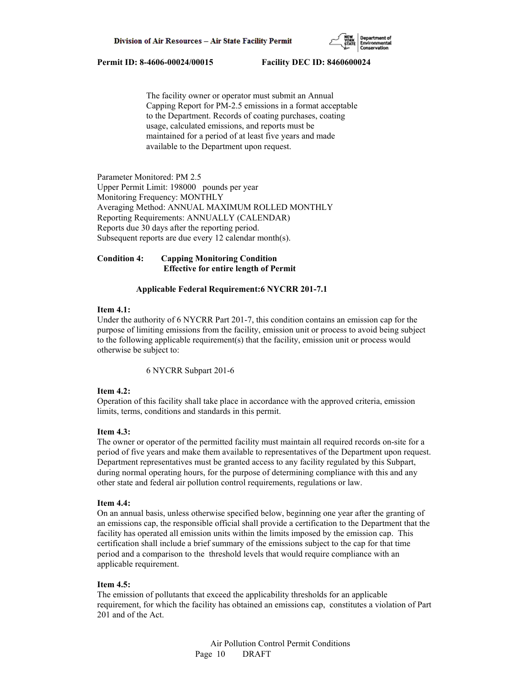

 The facility owner or operator must submit an Annual Capping Report for PM-2.5 emissions in a format acceptable to the Department. Records of coating purchases, coating usage, calculated emissions, and reports must be maintained for a period of at least five years and made available to the Department upon request.

Parameter Monitored: PM 2.5 Upper Permit Limit: 198000 pounds per year Monitoring Frequency: MONTHLY Averaging Method: ANNUAL MAXIMUM ROLLED MONTHLY Reporting Requirements: ANNUALLY (CALENDAR) Reports due 30 days after the reporting period. Subsequent reports are due every 12 calendar month(s).

# **Condition 4: Capping Monitoring Condition Effective for entire length of Permit**

# **Applicable Federal Requirement:6 NYCRR 201-7.1**

# **Item 4.1:**

Under the authority of 6 NYCRR Part 201-7, this condition contains an emission cap for the purpose of limiting emissions from the facility, emission unit or process to avoid being subject to the following applicable requirement(s) that the facility, emission unit or process would otherwise be subject to:

6 NYCRR Subpart 201-6

## **Item 4.2:**

Operation of this facility shall take place in accordance with the approved criteria, emission limits, terms, conditions and standards in this permit.

## **Item 4.3:**

The owner or operator of the permitted facility must maintain all required records on-site for a period of five years and make them available to representatives of the Department upon request. Department representatives must be granted access to any facility regulated by this Subpart, during normal operating hours, for the purpose of determining compliance with this and any other state and federal air pollution control requirements, regulations or law.

#### **Item 4.4:**

On an annual basis, unless otherwise specified below, beginning one year after the granting of an emissions cap, the responsible official shall provide a certification to the Department that the facility has operated all emission units within the limits imposed by the emission cap. This certification shall include a brief summary of the emissions subject to the cap for that time period and a comparison to the threshold levels that would require compliance with an applicable requirement.

## **Item 4.5:**

The emission of pollutants that exceed the applicability thresholds for an applicable requirement, for which the facility has obtained an emissions cap, constitutes a violation of Part 201 and of the Act.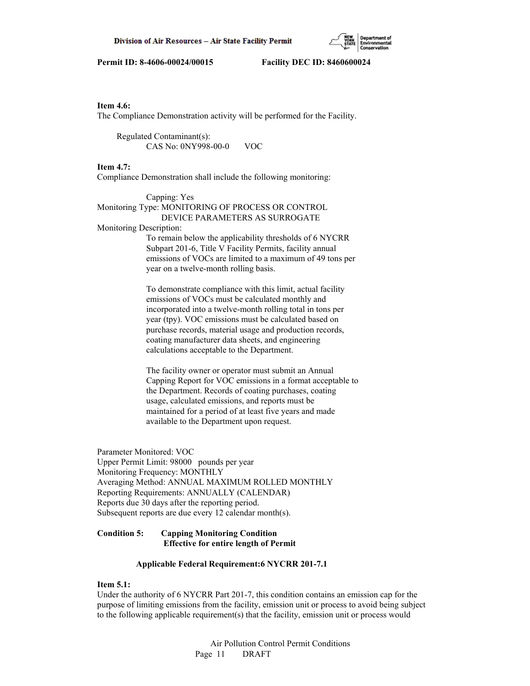

# **Item 4.6:**

The Compliance Demonstration activity will be performed for the Facility.

 Regulated Contaminant(s): CAS No: 0NY998-00-0 VOC

#### **Item 4.7:**

Compliance Demonstration shall include the following monitoring:

 Capping: Yes Monitoring Type: MONITORING OF PROCESS OR CONTROL DEVICE PARAMETERS AS SURROGATE Monitoring Description: To remain below the applicability thresholds of 6 NYCRR Subpart 201-6, Title V Facility Permits, facility annual

 emissions of VOCs are limited to a maximum of 49 tons per year on a twelve-month rolling basis.

 To demonstrate compliance with this limit, actual facility emissions of VOCs must be calculated monthly and incorporated into a twelve-month rolling total in tons per year (tpy). VOC emissions must be calculated based on purchase records, material usage and production records, coating manufacturer data sheets, and engineering calculations acceptable to the Department.

 The facility owner or operator must submit an Annual Capping Report for VOC emissions in a format acceptable to the Department. Records of coating purchases, coating usage, calculated emissions, and reports must be maintained for a period of at least five years and made available to the Department upon request.

Parameter Monitored: VOC Upper Permit Limit: 98000 pounds per year Monitoring Frequency: MONTHLY Averaging Method: ANNUAL MAXIMUM ROLLED MONTHLY Reporting Requirements: ANNUALLY (CALENDAR) Reports due 30 days after the reporting period. Subsequent reports are due every 12 calendar month(s).

# **Condition 5: Capping Monitoring Condition Effective for entire length of Permit**

#### **Applicable Federal Requirement:6 NYCRR 201-7.1**

# **Item 5.1:**

Under the authority of 6 NYCRR Part 201-7, this condition contains an emission cap for the purpose of limiting emissions from the facility, emission unit or process to avoid being subject to the following applicable requirement(s) that the facility, emission unit or process would

> Air Pollution Control Permit Conditions Page 11 DRAFT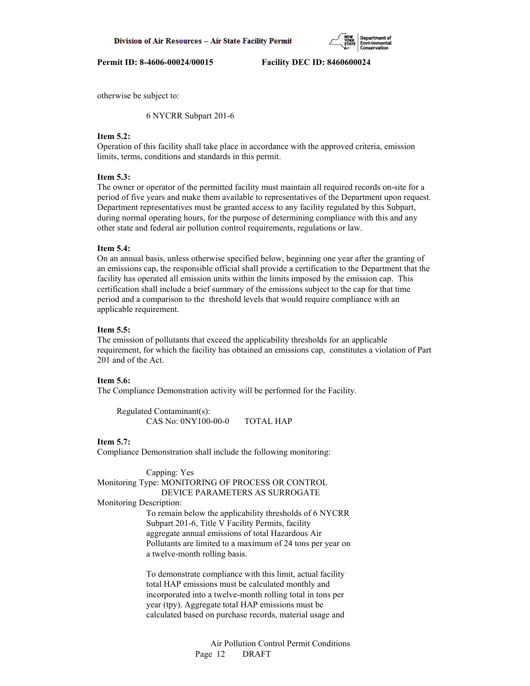

otherwise be subject to:

6 NYCRR Subpart 201-6

# **Item 5.2:**

Operation of this facility shall take place in accordance with the approved criteria, emission limits, terms, conditions and standards in this permit.

# **Item 5.3:**

The owner or operator of the permitted facility must maintain all required records on-site for a period of five years and make them available to representatives of the Department upon request. Department representatives must be granted access to any facility regulated by this Subpart, during normal operating hours, for the purpose of determining compliance with this and any other state and federal air pollution control requirements, regulations or law.

### **Item 5.4:**

On an annual basis, unless otherwise specified below, beginning one year after the granting of an emissions cap, the responsible official shall provide a certification to the Department that the facility has operated all emission units within the limits imposed by the emission cap. This certification shall include a brief summary of the emissions subject to the cap for that time period and a comparison to the threshold levels that would require compliance with an applicable requirement.

## **Item 5.5:**

The emission of pollutants that exceed the applicability thresholds for an applicable requirement, for which the facility has obtained an emissions cap, constitutes a violation of Part 201 and of the Act.

## **Item 5.6:**

The Compliance Demonstration activity will be performed for the Facility.

 Regulated Contaminant(s): CAS No: 0NY100-00-0 TOTAL HAP

### **Item 5.7:**

Compliance Demonstration shall include the following monitoring:

Capping: Yes

Monitoring Type: MONITORING OF PROCESS OR CONTROL DEVICE PARAMETERS AS SURROGATE

Monitoring Description:

 To remain below the applicability thresholds of 6 NYCRR Subpart 201-6, Title V Facility Permits, facility aggregate annual emissions of total Hazardous Air Pollutants are limited to a maximum of 24 tons per year on a twelve-month rolling basis.

 To demonstrate compliance with this limit, actual facility total HAP emissions must be calculated monthly and incorporated into a twelve-month rolling total in tons per year (tpy). Aggregate total HAP emissions must be calculated based on purchase records, material usage and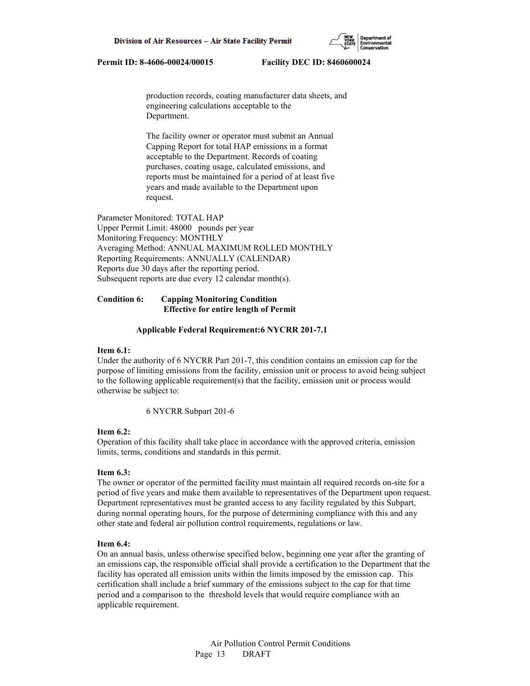production records, coating manufacturer data sheets, and engineering calculations acceptable to the Department.

 The facility owner or operator must submit an Annual Capping Report for total HAP emissions in a format acceptable to the Department. Records of coating purchases, coating usage, calculated emissions, and reports must be maintained for a period of at least five years and made available to the Department upon request.

Parameter Monitored: TOTAL HAP Upper Permit Limit: 48000 pounds per year Monitoring Frequency: MONTHLY Averaging Method: ANNUAL MAXIMUM ROLLED MONTHLY Reporting Requirements: ANNUALLY (CALENDAR) Reports due 30 days after the reporting period. Subsequent reports are due every 12 calendar month(s).

# **Condition 6: Capping Monitoring Condition Effective for entire length of Permit**

#### **Applicable Federal Requirement:6 NYCRR 201-7.1**

#### **Item 6.1:**

Under the authority of 6 NYCRR Part 201-7, this condition contains an emission cap for the purpose of limiting emissions from the facility, emission unit or process to avoid being subject to the following applicable requirement(s) that the facility, emission unit or process would otherwise be subject to:

6 NYCRR Subpart 201-6

#### **Item 6.2:**

Operation of this facility shall take place in accordance with the approved criteria, emission limits, terms, conditions and standards in this permit.

#### **Item 6.3:**

The owner or operator of the permitted facility must maintain all required records on-site for a period of five years and make them available to representatives of the Department upon request. Department representatives must be granted access to any facility regulated by this Subpart, during normal operating hours, for the purpose of determining compliance with this and any other state and federal air pollution control requirements, regulations or law.

#### **Item 6.4:**

On an annual basis, unless otherwise specified below, beginning one year after the granting of an emissions cap, the responsible official shall provide a certification to the Department that the facility has operated all emission units within the limits imposed by the emission cap. This certification shall include a brief summary of the emissions subject to the cap for that time period and a comparison to the threshold levels that would require compliance with an applicable requirement.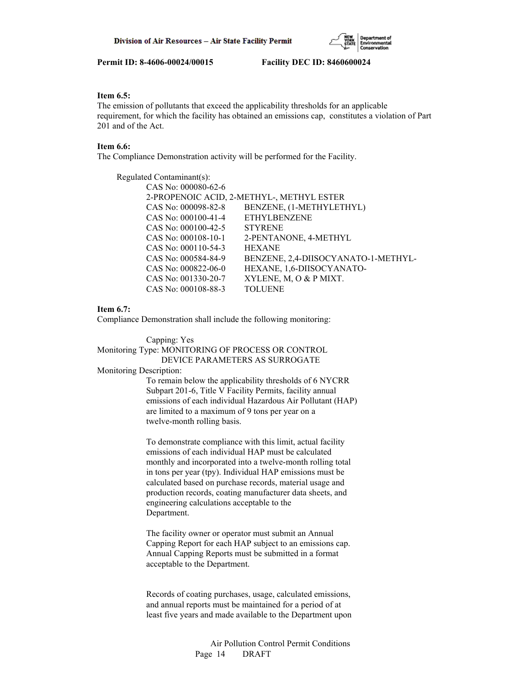# **Item 6.5:**

The emission of pollutants that exceed the applicability thresholds for an applicable requirement, for which the facility has obtained an emissions cap, constitutes a violation of Part 201 and of the Act.

## **Item 6.6:**

The Compliance Demonstration activity will be performed for the Facility.

| Regulated Contaminant(s): |                                           |
|---------------------------|-------------------------------------------|
| CAS No: 000080-62-6       |                                           |
|                           | 2-PROPENOIC ACID, 2-METHYL-, METHYL ESTER |
| CAS No: 000098-82-8       | BENZENE, (1-METHYLETHYL)                  |
| CAS No: $000100-41-4$     | <b>ETHYLBENZENE</b>                       |
| CAS No: $000100-42-5$     | <b>STYRENE</b>                            |
| CAS No: 000108-10-1       | 2-PENTANONE, 4-METHYL                     |
| CAS No: 000110-54-3       | <b>HEXANE</b>                             |
| CAS No: 000584-84-9       | BENZENE, 2,4-DIISOCYANATO-1-METHYL-       |
| CAS No: $000822 - 06 - 0$ | HEXANE, 1,6-DIISOCYANATO-                 |
| CAS No: 001330-20-7       | XYLENE, M, O & P MIXT.                    |
| CAS No: 000108-88-3       | <b>TOLUENE</b>                            |

## **Item 6.7:**

Compliance Demonstration shall include the following monitoring:

 Capping: Yes Monitoring Type: MONITORING OF PROCESS OR CONTROL DEVICE PARAMETERS AS SURROGATE Monitoring Description: To remain below the applicability thresholds of 6 NYCRR

 Subpart 201-6, Title V Facility Permits, facility annual emissions of each individual Hazardous Air Pollutant (HAP) are limited to a maximum of 9 tons per year on a twelve-month rolling basis.

 To demonstrate compliance with this limit, actual facility emissions of each individual HAP must be calculated monthly and incorporated into a twelve-month rolling total in tons per year (tpy). Individual HAP emissions must be calculated based on purchase records, material usage and production records, coating manufacturer data sheets, and engineering calculations acceptable to the Department.

 The facility owner or operator must submit an Annual Capping Report for each HAP subject to an emissions cap. Annual Capping Reports must be submitted in a format acceptable to the Department.

 Records of coating purchases, usage, calculated emissions, and annual reports must be maintained for a period of at least five years and made available to the Department upon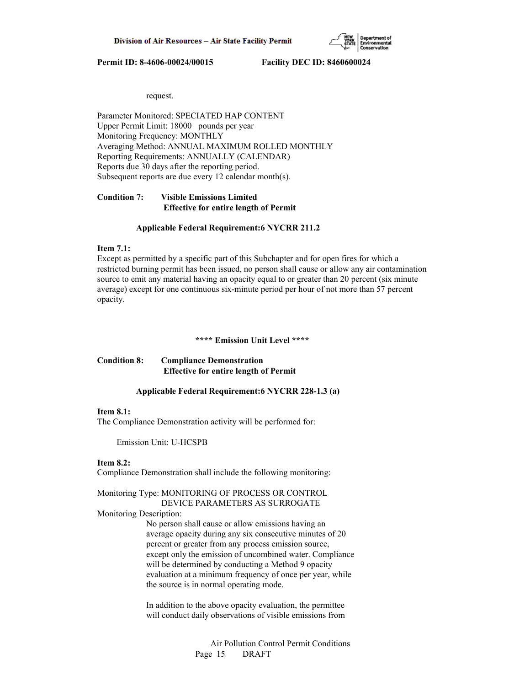

request.

Parameter Monitored: SPECIATED HAP CONTENT Upper Permit Limit: 18000 pounds per year Monitoring Frequency: MONTHLY Averaging Method: ANNUAL MAXIMUM ROLLED MONTHLY Reporting Requirements: ANNUALLY (CALENDAR) Reports due 30 days after the reporting period. Subsequent reports are due every 12 calendar month(s).

# **Condition 7: Visible Emissions Limited Effective for entire length of Permit**

#### **Applicable Federal Requirement:6 NYCRR 211.2**

# **Item 7.1:**

Except as permitted by a specific part of this Subchapter and for open fires for which a restricted burning permit has been issued, no person shall cause or allow any air contamination source to emit any material having an opacity equal to or greater than 20 percent (six minute average) except for one continuous six-minute period per hour of not more than 57 percent opacity.

#### **\*\*\*\* Emission Unit Level \*\*\*\***

## **Condition 8: Compliance Demonstration Effective for entire length of Permit**

## **Applicable Federal Requirement:6 NYCRR 228-1.3 (a)**

#### **Item 8.1:**

The Compliance Demonstration activity will be performed for:

Emission Unit: U-HCSPB

# **Item 8.2:**

Compliance Demonstration shall include the following monitoring:

Monitoring Type: MONITORING OF PROCESS OR CONTROL DEVICE PARAMETERS AS SURROGATE

Monitoring Description:

 No person shall cause or allow emissions having an average opacity during any six consecutive minutes of 20 percent or greater from any process emission source, except only the emission of uncombined water. Compliance will be determined by conducting a Method 9 opacity evaluation at a minimum frequency of once per year, while the source is in normal operating mode.

 In addition to the above opacity evaluation, the permittee will conduct daily observations of visible emissions from

> Air Pollution Control Permit Conditions Page 15 DRAFT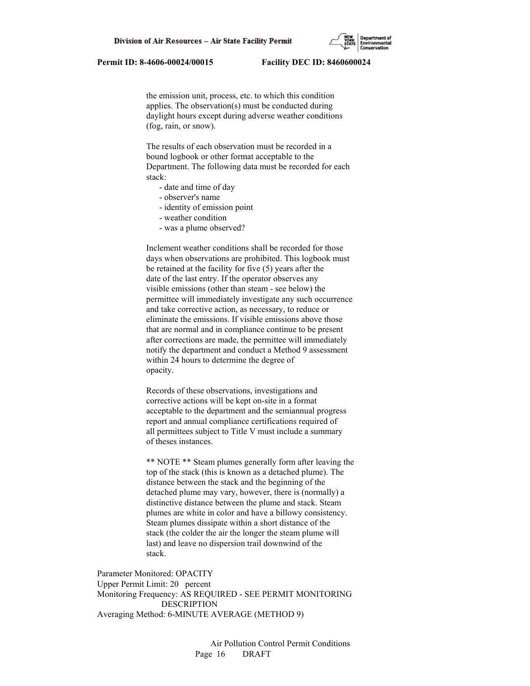the emission unit, process, etc. to which this condition applies. The observation(s) must be conducted during daylight hours except during adverse weather conditions (fog, rain, or snow).

 The results of each observation must be recorded in a bound logbook or other format acceptable to the Department. The following data must be recorded for each stack:

- date and time of day
- observer's name
- identity of emission point
- weather condition
- was a plume observed?

 Inclement weather conditions shall be recorded for those days when observations are prohibited. This logbook must be retained at the facility for five (5) years after the date of the last entry. If the operator observes any visible emissions (other than steam - see below) the permittee will immediately investigate any such occurrence and take corrective action, as necessary, to reduce or eliminate the emissions. If visible emissions above those that are normal and in compliance continue to be present after corrections are made, the permittee will immediately notify the department and conduct a Method 9 assessment within 24 hours to determine the degree of opacity.

 Records of these observations, investigations and corrective actions will be kept on-site in a format acceptable to the department and the semiannual progress report and annual compliance certifications required of all permittees subject to Title V must include a summary of theses instances.

 \*\* NOTE \*\* Steam plumes generally form after leaving the top of the stack (this is known as a detached plume). The distance between the stack and the beginning of the detached plume may vary, however, there is (normally) a distinctive distance between the plume and stack. Steam plumes are white in color and have a billowy consistency. Steam plumes dissipate within a short distance of the stack (the colder the air the longer the steam plume will last) and leave no dispersion trail downwind of the stack.

Parameter Monitored: OPACITY Upper Permit Limit: 20 percent Monitoring Frequency: AS REQUIRED - SEE PERMIT MONITORING DESCRIPTION Averaging Method: 6-MINUTE AVERAGE (METHOD 9)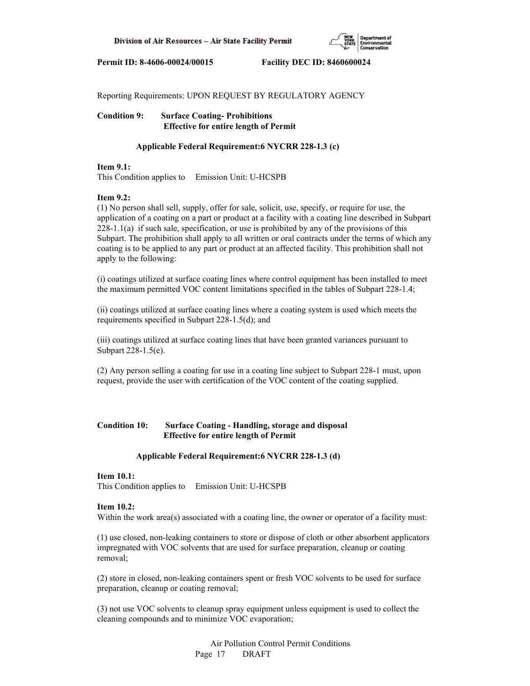

Reporting Requirements: UPON REQUEST BY REGULATORY AGENCY

**Condition 9: Surface Coating- Prohibitions Effective for entire length of Permit**

# **Applicable Federal Requirement:6 NYCRR 228-1.3 (c)**

## **Item 9.1:**

This Condition applies to Emission Unit: U-HCSPB

# **Item 9.2:**

(1) No person shall sell, supply, offer for sale, solicit, use, specify, or require for use, the application of a coating on a part or product at a facility with a coating line described in Subpart 228-1.1(a) if such sale, specification, or use is prohibited by any of the provisions of this Subpart. The prohibition shall apply to all written or oral contracts under the terms of which any coating is to be applied to any part or product at an affected facility. This prohibition shall not apply to the following:

(i) coatings utilized at surface coating lines where control equipment has been installed to meet the maximum permitted VOC content limitations specified in the tables of Subpart 228-1.4;

(ii) coatings utilized at surface coating lines where a coating system is used which meets the requirements specified in Subpart 228-1.5(d); and

(iii) coatings utilized at surface coating lines that have been granted variances pursuant to Subpart 228-1.5(e).

(2) Any person selling a coating for use in a coating line subject to Subpart 228-1 must, upon request, provide the user with certification of the VOC content of the coating supplied.

# **Condition 10: Surface Coating - Handling, storage and disposal Effective for entire length of Permit**

## **Applicable Federal Requirement:6 NYCRR 228-1.3 (d)**

## **Item 10.1:**

This Condition applies to Emission Unit: U-HCSPB

## **Item 10.2:**

Within the work area(s) associated with a coating line, the owner or operator of a facility must:

(1) use closed, non-leaking containers to store or dispose of cloth or other absorbent applicators impregnated with VOC solvents that are used for surface preparation, cleanup or coating removal;

(2) store in closed, non-leaking containers spent or fresh VOC solvents to be used for surface preparation, cleanup or coating removal;

(3) not use VOC solvents to cleanup spray equipment unless equipment is used to collect the cleaning compounds and to minimize VOC evaporation;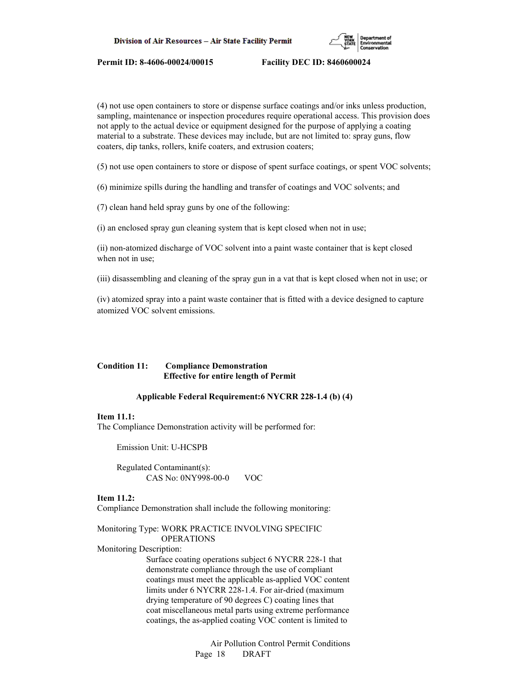

(4) not use open containers to store or dispense surface coatings and/or inks unless production, sampling, maintenance or inspection procedures require operational access. This provision does not apply to the actual device or equipment designed for the purpose of applying a coating material to a substrate. These devices may include, but are not limited to: spray guns, flow coaters, dip tanks, rollers, knife coaters, and extrusion coaters;

(5) not use open containers to store or dispose of spent surface coatings, or spent VOC solvents;

(6) minimize spills during the handling and transfer of coatings and VOC solvents; and

(7) clean hand held spray guns by one of the following:

(i) an enclosed spray gun cleaning system that is kept closed when not in use;

(ii) non-atomized discharge of VOC solvent into a paint waste container that is kept closed when not in use;

(iii) disassembling and cleaning of the spray gun in a vat that is kept closed when not in use; or

(iv) atomized spray into a paint waste container that is fitted with a device designed to capture atomized VOC solvent emissions.

# **Condition 11: Compliance Demonstration Effective for entire length of Permit**

#### **Applicable Federal Requirement:6 NYCRR 228-1.4 (b) (4)**

## **Item 11.1:**

The Compliance Demonstration activity will be performed for:

Emission Unit: U-HCSPB

 Regulated Contaminant(s): CAS No: 0NY998-00-0 VOC

#### **Item 11.2:**

Compliance Demonstration shall include the following monitoring:

# Monitoring Type: WORK PRACTICE INVOLVING SPECIFIC OPERATIONS

Monitoring Description:

 Surface coating operations subject 6 NYCRR 228-1 that demonstrate compliance through the use of compliant coatings must meet the applicable as-applied VOC content limits under 6 NYCRR 228-1.4. For air-dried (maximum drying temperature of 90 degrees C) coating lines that coat miscellaneous metal parts using extreme performance coatings, the as-applied coating VOC content is limited to

> Air Pollution Control Permit Conditions Page 18 DRAFT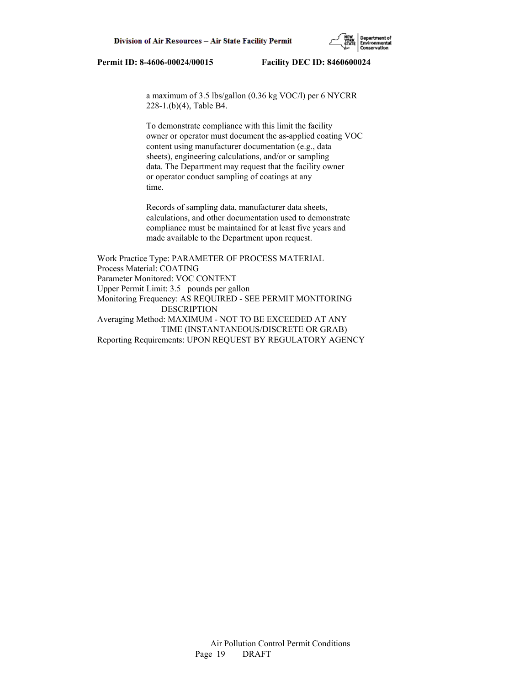

 a maximum of 3.5 lbs/gallon (0.36 kg VOC/l) per 6 NYCRR 228-1.(b)(4), Table B4.

 To demonstrate compliance with this limit the facility owner or operator must document the as-applied coating VOC content using manufacturer documentation (e.g., data sheets), engineering calculations, and/or or sampling data. The Department may request that the facility owner or operator conduct sampling of coatings at any time.

 Records of sampling data, manufacturer data sheets, calculations, and other documentation used to demonstrate compliance must be maintained for at least five years and made available to the Department upon request.

Work Practice Type: PARAMETER OF PROCESS MATERIAL Process Material: COATING Parameter Monitored: VOC CONTENT Upper Permit Limit: 3.5 pounds per gallon Monitoring Frequency: AS REQUIRED - SEE PERMIT MONITORING DESCRIPTION Averaging Method: MAXIMUM - NOT TO BE EXCEEDED AT ANY TIME (INSTANTANEOUS/DISCRETE OR GRAB) Reporting Requirements: UPON REQUEST BY REGULATORY AGENCY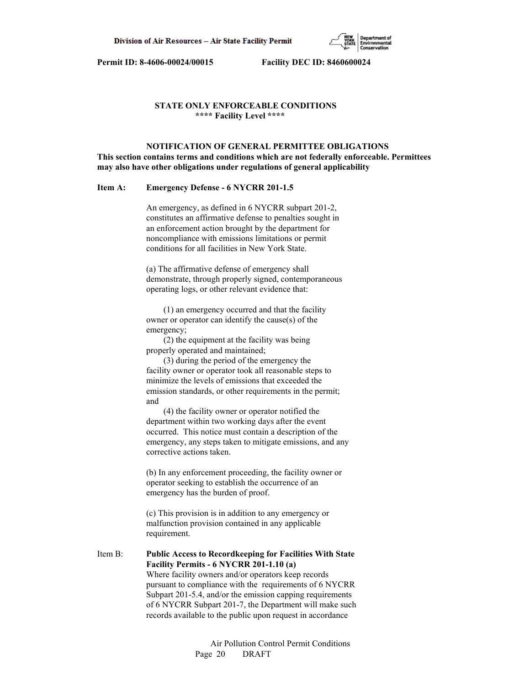

## **STATE ONLY ENFORCEABLE CONDITIONS \*\*\*\* Facility Level \*\*\*\***

 **NOTIFICATION OF GENERAL PERMITTEE OBLIGATIONS This section contains terms and conditions which are not federally enforceable. Permittees may also have other obligations under regulations of general applicability**

#### **Item A: Emergency Defense - 6 NYCRR 201-1.5**

 An emergency, as defined in 6 NYCRR subpart 201-2, constitutes an affirmative defense to penalties sought in an enforcement action brought by the department for noncompliance with emissions limitations or permit conditions for all facilities in New York State.

 (a) The affirmative defense of emergency shall demonstrate, through properly signed, contemporaneous operating logs, or other relevant evidence that:

 (1) an emergency occurred and that the facility owner or operator can identify the cause(s) of the emergency;

 (2) the equipment at the facility was being properly operated and maintained;

 (3) during the period of the emergency the facility owner or operator took all reasonable steps to minimize the levels of emissions that exceeded the emission standards, or other requirements in the permit; and

 (4) the facility owner or operator notified the department within two working days after the event occurred. This notice must contain a description of the emergency, any steps taken to mitigate emissions, and any corrective actions taken.

 (b) In any enforcement proceeding, the facility owner or operator seeking to establish the occurrence of an emergency has the burden of proof.

 (c) This provision is in addition to any emergency or malfunction provision contained in any applicable requirement.

Item B: **Public Access to Recordkeeping for Facilities With State Facility Permits - 6 NYCRR 201-1.10 (a)** Where facility owners and/or operators keep records pursuant to compliance with the requirements of 6 NYCRR Subpart 201-5.4, and/or the emission capping requirements of 6 NYCRR Subpart 201-7, the Department will make such records available to the public upon request in accordance

> Air Pollution Control Permit Conditions Page 20 DRAFT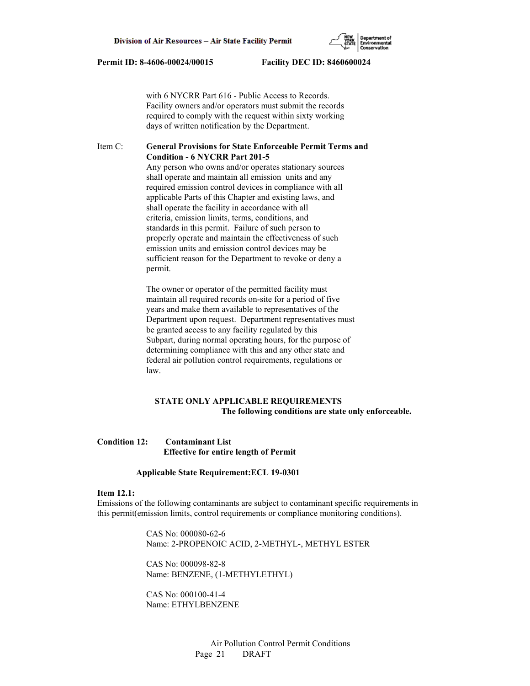with 6 NYCRR Part 616 - Public Access to Records. Facility owners and/or operators must submit the records required to comply with the request within sixty working days of written notification by the Department.

## Item C: **General Provisions for State Enforceable Permit Terms and Condition - 6 NYCRR Part 201-5**

 Any person who owns and/or operates stationary sources shall operate and maintain all emission units and any required emission control devices in compliance with all applicable Parts of this Chapter and existing laws, and shall operate the facility in accordance with all criteria, emission limits, terms, conditions, and standards in this permit. Failure of such person to properly operate and maintain the effectiveness of such emission units and emission control devices may be sufficient reason for the Department to revoke or deny a permit.

 The owner or operator of the permitted facility must maintain all required records on-site for a period of five years and make them available to representatives of the Department upon request. Department representatives must be granted access to any facility regulated by this Subpart, during normal operating hours, for the purpose of determining compliance with this and any other state and federal air pollution control requirements, regulations or law.

# **STATE ONLY APPLICABLE REQUIREMENTS The following conditions are state only enforceable.**

# **Condition 12: Contaminant List Effective for entire length of Permit**

#### **Applicable State Requirement:ECL 19-0301**

#### **Item 12.1:**

Emissions of the following contaminants are subject to contaminant specific requirements in this permit(emission limits, control requirements or compliance monitoring conditions).

> CAS No: 000080-62-6 Name: 2-PROPENOIC ACID, 2-METHYL-, METHYL ESTER

 CAS No: 000098-82-8 Name: BENZENE, (1-METHYLETHYL)

 CAS No: 000100-41-4 Name: ETHYLBENZENE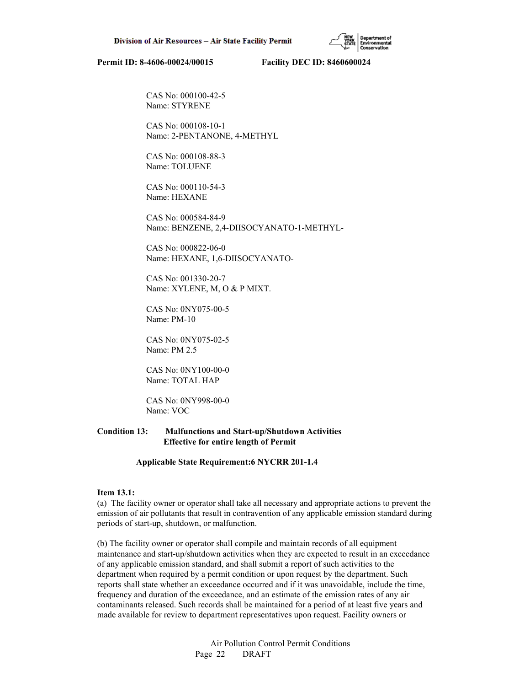CAS No: 000100-42-5 Name: STYRENE

 CAS No: 000108-10-1 Name: 2-PENTANONE, 4-METHYL

 CAS No: 000108-88-3 Name: TOLUENE

 CAS No: 000110-54-3 Name: HEXANE

 CAS No: 000584-84-9 Name: BENZENE, 2,4-DIISOCYANATO-1-METHYL-

 CAS No: 000822-06-0 Name: HEXANE, 1,6-DIISOCYANATO-

 CAS No: 001330-20-7 Name: XYLENE, M, O & P MIXT.

 CAS No: 0NY075-00-5 Name: PM-10

 CAS No: 0NY075-02-5 Name: PM 2.5

 CAS No: 0NY100-00-0 Name: TOTAL HAP

 CAS No: 0NY998-00-0 Name: VOC

## **Condition 13: Malfunctions and Start-up/Shutdown Activities Effective for entire length of Permit**

 **Applicable State Requirement:6 NYCRR 201-1.4**

#### **Item 13.1:**

(a) The facility owner or operator shall take all necessary and appropriate actions to prevent the emission of air pollutants that result in contravention of any applicable emission standard during periods of start-up, shutdown, or malfunction.

(b) The facility owner or operator shall compile and maintain records of all equipment maintenance and start-up/shutdown activities when they are expected to result in an exceedance of any applicable emission standard, and shall submit a report of such activities to the department when required by a permit condition or upon request by the department. Such reports shall state whether an exceedance occurred and if it was unavoidable, include the time, frequency and duration of the exceedance, and an estimate of the emission rates of any air contaminants released. Such records shall be maintained for a period of at least five years and made available for review to department representatives upon request. Facility owners or

> Air Pollution Control Permit Conditions Page 22 DRAFT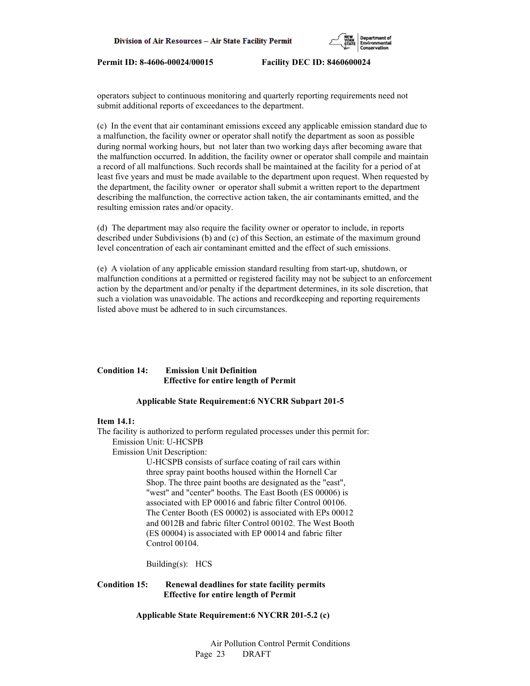

operators subject to continuous monitoring and quarterly reporting requirements need not submit additional reports of exceedances to the department.

(c) In the event that air contaminant emissions exceed any applicable emission standard due to a malfunction, the facility owner or operator shall notify the department as soon as possible during normal working hours, but not later than two working days after becoming aware that the malfunction occurred. In addition, the facility owner or operator shall compile and maintain a record of all malfunctions. Such records shall be maintained at the facility for a period of at least five years and must be made available to the department upon request. When requested by the department, the facility owner or operator shall submit a written report to the department describing the malfunction, the corrective action taken, the air contaminants emitted, and the resulting emission rates and/or opacity.

(d) The department may also require the facility owner or operator to include, in reports described under Subdivisions (b) and (c) of this Section, an estimate of the maximum ground level concentration of each air contaminant emitted and the effect of such emissions.

(e) A violation of any applicable emission standard resulting from start-up, shutdown, or malfunction conditions at a permitted or registered facility may not be subject to an enforcement action by the department and/or penalty if the department determines, in its sole discretion, that such a violation was unavoidable. The actions and recordkeeping and reporting requirements listed above must be adhered to in such circumstances.

# **Condition 14: Emission Unit Definition Effective for entire length of Permit**

## **Applicable State Requirement:6 NYCRR Subpart 201-5**

## **Item 14.1:**

The facility is authorized to perform regulated processes under this permit for: Emission Unit: U-HCSPB

Emission Unit Description:

 U-HCSPB consists of surface coating of rail cars within three spray paint booths housed within the Hornell Car Shop. The three paint booths are designated as the "east", "west" and "center" booths. The East Booth (ES 00006) is associated with EP 00016 and fabric filter Control 00106. The Center Booth (ES 00002) is associated with EPs 00012 and 0012B and fabric filter Control 00102. The West Booth (ES 00004) is associated with EP 00014 and fabric filter Control 00104.

Building(s): HCS

# **Condition 15: Renewal deadlines for state facility permits Effective for entire length of Permit**

 **Applicable State Requirement:6 NYCRR 201-5.2 (c)**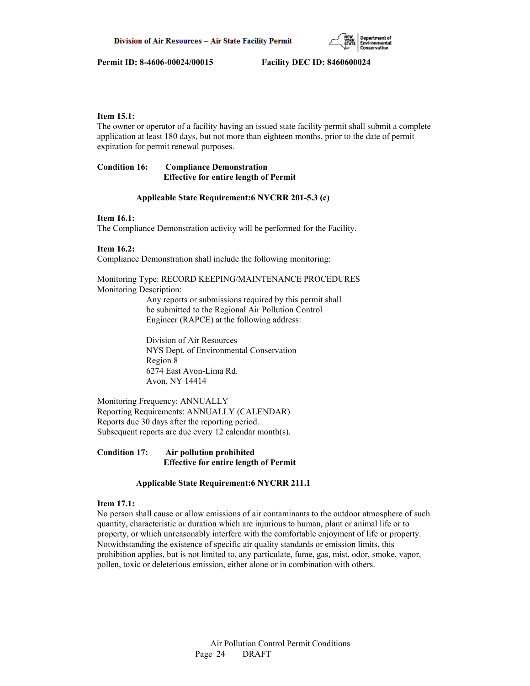

## **Item 15.1:**

The owner or operator of a facility having an issued state facility permit shall submit a complete application at least 180 days, but not more than eighteen months, prior to the date of permit expiration for permit renewal purposes.

# **Condition 16: Compliance Demonstration Effective for entire length of Permit**

#### **Applicable State Requirement:6 NYCRR 201-5.3 (c)**

# **Item 16.1:**

The Compliance Demonstration activity will be performed for the Facility.

# **Item 16.2:**

Compliance Demonstration shall include the following monitoring:

Monitoring Type: RECORD KEEPING/MAINTENANCE PROCEDURES Monitoring Description:

> Any reports or submissions required by this permit shall be submitted to the Regional Air Pollution Control Engineer (RAPCE) at the following address:

 Division of Air Resources NYS Dept. of Environmental Conservation Region 8 6274 East Avon-Lima Rd. Avon, NY 14414

Monitoring Frequency: ANNUALLY Reporting Requirements: ANNUALLY (CALENDAR) Reports due 30 days after the reporting period. Subsequent reports are due every 12 calendar month(s).

# **Condition 17: Air pollution prohibited Effective for entire length of Permit**

## **Applicable State Requirement:6 NYCRR 211.1**

# **Item 17.1:**

No person shall cause or allow emissions of air contaminants to the outdoor atmosphere of such quantity, characteristic or duration which are injurious to human, plant or animal life or to property, or which unreasonably interfere with the comfortable enjoyment of life or property. Notwithstanding the existence of specific air quality standards or emission limits, this prohibition applies, but is not limited to, any particulate, fume, gas, mist, odor, smoke, vapor, pollen, toxic or deleterious emission, either alone or in combination with others.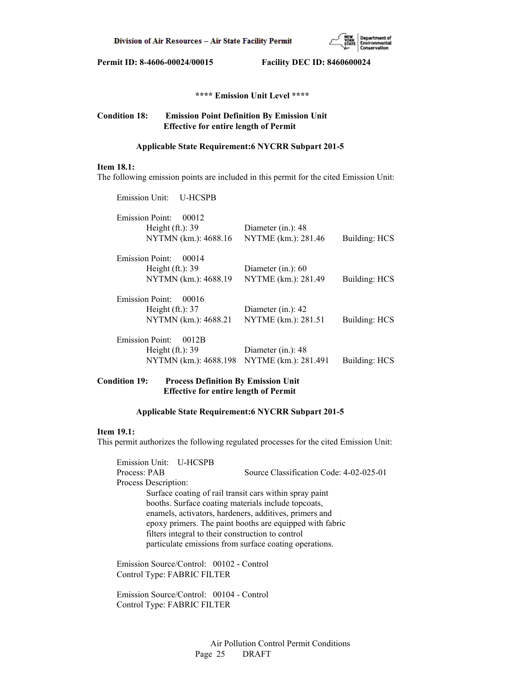

 **\*\*\*\* Emission Unit Level \*\*\*\***

# **Condition 18: Emission Point Definition By Emission Unit Effective for entire length of Permit**

## **Applicable State Requirement:6 NYCRR Subpart 201-5**

## **Item 18.1:**

The following emission points are included in this permit for the cited Emission Unit:

| Emission Unit:<br><b>U-HCSPB</b>            |                                              |               |
|---------------------------------------------|----------------------------------------------|---------------|
| <b>Emission Point:</b><br>00012             |                                              |               |
| Height $(ft.)$ : 39<br>NYTMN (km.): 4688.16 | Diameter $(in.)$ : 48<br>NYTME (km.): 281.46 | Building: HCS |
| <b>Emission Point:</b><br>00014             |                                              |               |
| Height $(ft.):$ 39                          | Diameter (in.): $60$                         |               |
| NYTMN (km.): 4688.19                        | NYTME (km.): 281.49                          | Building: HCS |
| Emission Point:<br>00016                    |                                              |               |
| Height $(ft.)$ : 37                         | Diameter $(in.)$ : 42                        |               |
| NYTMN (km.): 4688.21                        | NYTME (km.): 281.51                          | Building: HCS |
| <b>Emission Point:</b><br>0012B             |                                              |               |
| Height $(ft.)$ : 39                         | Diameter $(in.)$ : 48                        |               |
| NYTMN (km.): 4688.198                       | NYTME (km.): 281.491                         | Building: HCS |
|                                             |                                              |               |

# **Condition 19: Process Definition By Emission Unit Effective for entire length of Permit**

#### **Applicable State Requirement:6 NYCRR Subpart 201-5**

## **Item 19.1:**

This permit authorizes the following regulated processes for the cited Emission Unit:

 Emission Unit: U-HCSPB Process: PAB Source Classification Code: 4-02-025-01 Process Description: Surface coating of rail transit cars within spray paint booths. Surface coating materials include topcoats, enamels, activators, hardeners, additives, primers and epoxy primers. The paint booths are equipped with fabric filters integral to their construction to control particulate emissions from surface coating operations.

 Emission Source/Control: 00102 - Control Control Type: FABRIC FILTER

 Emission Source/Control: 00104 - Control Control Type: FABRIC FILTER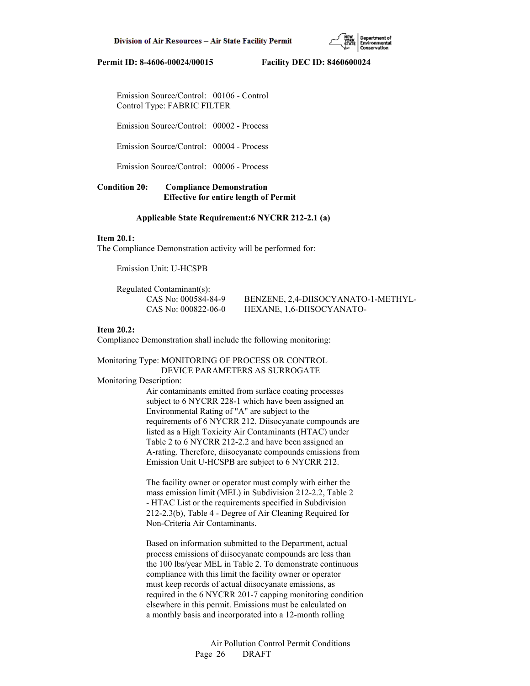Emission Source/Control: 00106 - Control Control Type: FABRIC FILTER

Emission Source/Control: 00002 - Process

Emission Source/Control: 00004 - Process

Emission Source/Control: 00006 - Process

## **Condition 20: Compliance Demonstration Effective for entire length of Permit**

## **Applicable State Requirement:6 NYCRR 212-2.1 (a)**

### **Item 20.1:**

The Compliance Demonstration activity will be performed for:

Emission Unit: U-HCSPB

Regulated Contaminant(s):

 CAS No: 000584-84-9 BENZENE, 2,4-DIISOCYANATO-1-METHYL- CAS No: 000822-06-0 HEXANE, 1,6-DIISOCYANATO-

### **Item 20.2:**

Compliance Demonstration shall include the following monitoring:

Monitoring Type: MONITORING OF PROCESS OR CONTROL DEVICE PARAMETERS AS SURROGATE

#### Monitoring Description:

 Air contaminants emitted from surface coating processes subject to 6 NYCRR 228-1 which have been assigned an Environmental Rating of "A" are subject to the requirements of 6 NYCRR 212. Diisocyanate compounds are listed as a High Toxicity Air Contaminants (HTAC) under Table 2 to 6 NYCRR 212-2.2 and have been assigned an A-rating. Therefore, diisocyanate compounds emissions from Emission Unit U-HCSPB are subject to 6 NYCRR 212.

 The facility owner or operator must comply with either the mass emission limit (MEL) in Subdivision 212-2.2, Table 2 - HTAC List or the requirements specified in Subdivision 212-2.3(b), Table 4 - Degree of Air Cleaning Required for Non-Criteria Air Contaminants.

 Based on information submitted to the Department, actual process emissions of diisocyanate compounds are less than the 100 lbs/year MEL in Table 2. To demonstrate continuous compliance with this limit the facility owner or operator must keep records of actual diisocyanate emissions, as required in the 6 NYCRR 201-7 capping monitoring condition elsewhere in this permit. Emissions must be calculated on a monthly basis and incorporated into a 12-month rolling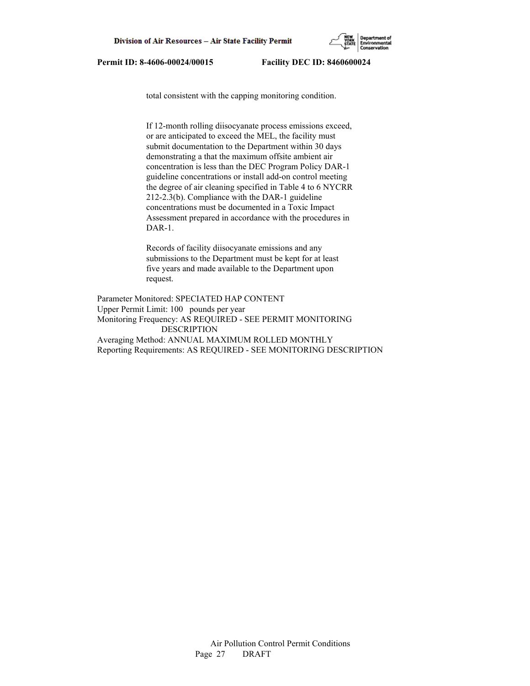

total consistent with the capping monitoring condition.

 If 12-month rolling diisocyanate process emissions exceed, or are anticipated to exceed the MEL, the facility must submit documentation to the Department within 30 days demonstrating a that the maximum offsite ambient air concentration is less than the DEC Program Policy DAR-1 guideline concentrations or install add-on control meeting the degree of air cleaning specified in Table 4 to 6 NYCRR 212-2.3(b). Compliance with the DAR-1 guideline concentrations must be documented in a Toxic Impact Assessment prepared in accordance with the procedures in DAR-1.

 Records of facility diisocyanate emissions and any submissions to the Department must be kept for at least five years and made available to the Department upon request.

Parameter Monitored: SPECIATED HAP CONTENT Upper Permit Limit: 100 pounds per year Monitoring Frequency: AS REQUIRED - SEE PERMIT MONITORING DESCRIPTION Averaging Method: ANNUAL MAXIMUM ROLLED MONTHLY Reporting Requirements: AS REQUIRED - SEE MONITORING DESCRIPTION